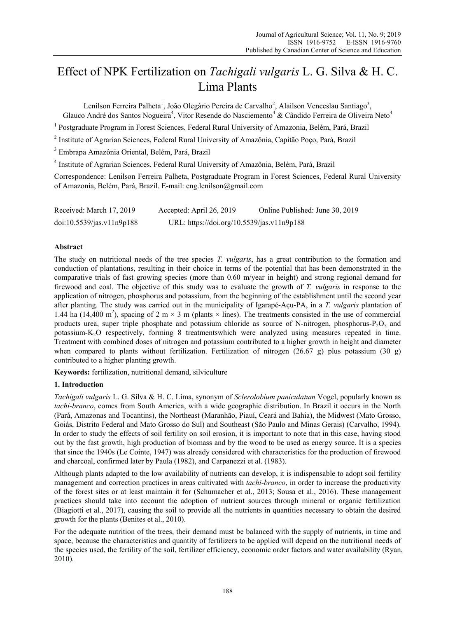# Effect of NPK Fertilization on *Tachigali vulgaris* L. G. Silva & H. C. Lima Plants

Lenilson Ferreira Palheta<sup>1</sup>, João Olegário Pereira de Carvalho<sup>2</sup>, Alailson Venceslau Santiago<sup>3</sup>, Glauco André dos Santos Nogueira<sup>4</sup>, Vitor Resende do Nasciemento<sup>4</sup> & Cândido Ferreira de Oliveira Neto<sup>4</sup>

<sup>1</sup> Postgraduate Program in Forest Sciences, Federal Rural University of Amazonia, Belém, Pará, Brazil

<sup>2</sup> Institute of Agrarian Sciences, Federal Rural University of Amazônia, Capitão Poço, Pará, Brazil

3 Embrapa Amazônia Oriental, Belém, Pará, Brazil

4 Institute of Agrarian Sciences, Federal Rural University of Amazônia, Belém, Pará, Brazil

Correspondence: Lenilson Ferreira Palheta, Postgraduate Program in Forest Sciences, Federal Rural University of Amazonia, Belém, Pará, Brazil. E-mail: eng.lenilson@gmail.com

Received: March 17, 2019 Accepted: April 26, 2019 Online Published: June 30, 2019 doi:10.5539/jas.v11n9p188 URL: https://doi.org/10.5539/jas.v11n9p188

## **Abstract**

The study on nutritional needs of the tree species *T. vulgaris*, has a great contribution to the formation and conduction of plantations, resulting in their choice in terms of the potential that has been demonstrated in the comparative trials of fast growing species (more than 0.60 m/year in height) and strong regional demand for firewood and coal. The objective of this study was to evaluate the growth of *T. vulgaris* in response to the application of nitrogen, phosphorus and potassium, from the beginning of the establishment until the second year after planting. The study was carried out in the municipality of Igarapé-Açu-PA, in a *T. vulgaris* plantation of 1.44 ha (14,400 m<sup>2</sup>), spacing of 2 m  $\times$  3 m (plants  $\times$  lines). The treatments consisted in the use of commercial products urea, super triple phosphate and potassium chloride as source of N-nitrogen, phosphorus- $P_2O_5$  and potassium-K2O respectively, forming 8 treatmentswhich were analyzed using measures repeated in time. Treatment with combined doses of nitrogen and potassium contributed to a higher growth in height and diameter when compared to plants without fertilization. Fertilization of nitrogen (26.67 g) plus potassium (30 g) contributed to a higher planting growth.

**Keywords:** fertilization, nutritional demand, silviculture

## **1. Introduction**

*Tachigali vulgaris* L. G. Silva & H. C. Lima, synonym of *Sclerolobium paniculatum* Vogel, popularly known as *tachi-branco*, comes from South America, with a wide geographic distribution. In Brazil it occurs in the North (Pará, Amazonas and Tocantins), the Northeast (Maranhão, Piauí, Ceará and Bahia), the Midwest (Mato Grosso, Goiás, Distrito Federal and Mato Grosso do Sul) and Southeast (São Paulo and Minas Gerais) (Carvalho, 1994). In order to study the effects of soil fertility on soil erosion, it is important to note that in this case, having stood out by the fast growth, high production of biomass and by the wood to be used as energy source. It is a species that since the 1940s (Le Cointe, 1947) was already considered with characteristics for the production of firewood and charcoal, confirmed later by Paula (1982), and Carpanezzi et al. (1983).

Although plants adapted to the low availability of nutrients can develop, it is indispensable to adopt soil fertility management and correction practices in areas cultivated with *tachi-branco*, in order to increase the productivity of the forest sites or at least maintain it for (Schumacher et al., 2013; Sousa et al., 2016). These management practices should take into account the adoption of nutrient sources through mineral or organic fertilization (Biagiotti et al., 2017), causing the soil to provide all the nutrients in quantities necessary to obtain the desired growth for the plants (Benites et al., 2010).

For the adequate nutrition of the trees, their demand must be balanced with the supply of nutrients, in time and space, because the characteristics and quantity of fertilizers to be applied will depend on the nutritional needs of the species used, the fertility of the soil, fertilizer efficiency, economic order factors and water availability (Ryan, 2010).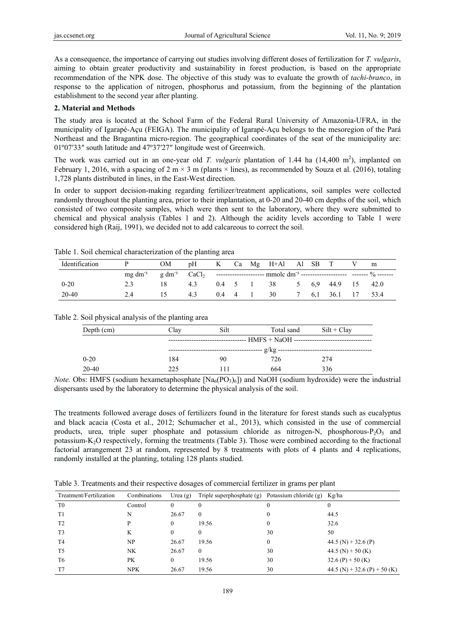As a consequence, the importance of carrying out studies involving different doses of fertilization for *T. vulgaris*, aiming to obtain greater productivity and sustainability in forest production, is based on the appropriate recommendation of the NPK dose. The objective of this study was to evaluate the growth of *tachi-branco*, in response to the application of nitrogen, phosphorus and potassium, from the beginning of the plantation establishment to the second year after planting.

# **2. Material and Methods**

The study area is located at the School Farm of the Federal Rural University of Amazonia-UFRA, in the municipality of Igarapé-Açu (FEIGA). The municipality of Igarapé-Açu belongs to the mesoregion of the Pará Northeast and the Bragantina micro-region. The geographical coordinates of the seat of the municipality are: 01º07′33″ south latitude and 47º37′27″ longitude west of Greenwich.

The work was carried out in an one-year old *T. vulgaris* plantation of 1.44 ha  $(14,400 \text{ m}^2)$ , implanted on February 1, 2016, with a spacing of 2 m  $\times$  3 m (plants  $\times$  lines), as recommended by Souza et al. (2016), totaling 1,728 plants distributed in lines, in the East-West direction.

In order to support decision-making regarding fertilizer/treatment applications, soil samples were collected randomly throughout the planting area, prior to their implantation, at 0-20 and 20-40 cm depths of the soil, which consisted of two composite samples, which were then sent to the laboratory, where they were submitted to chemical and physical analysis (Tables 1 and 2). Although the acidity levels according to Table 1 were considered high (Raij, 1991), we decided not to add calcareous to correct the soil.

| Identification |                                                                                                                                               | OM             | pH  |  |                       | K Ca Mg H+Al Al SB T V m |       |              |  |
|----------------|-----------------------------------------------------------------------------------------------------------------------------------------------|----------------|-----|--|-----------------------|--------------------------|-------|--------------|--|
|                | mg dm <sup>-3</sup> g dm <sup>-3</sup> CaCl <sub>2</sub> ---------------------- mmolc dm <sup>-3</sup> -------------------- ------- % ------- |                |     |  |                       |                          |       |              |  |
| $0 - 20$       |                                                                                                                                               | 18.            | 4.3 |  | $0.4 \quad 5 \quad 1$ | 38 5 6.9 44.9 15 42.0    |       |              |  |
| 20-40          | 2.4                                                                                                                                           | $\overline{5}$ | 4.3 |  | $0.4 \quad 4 \quad 1$ | - 30                     | 7 6.1 | 36.1 17 53.4 |  |

Table 1. Soil chemical characterization of the planting area

# Table 2. Soil physical analysis of the planting area

| Depth (cm) | Clav                                                                             | Silt | Total sand | $Silt + Clav$ |  |  |  |
|------------|----------------------------------------------------------------------------------|------|------------|---------------|--|--|--|
|            | ---------------------------------- HMFS + NaOH --------------------------------- |      |            |               |  |  |  |
|            |                                                                                  |      |            |               |  |  |  |
| $0 - 20$   | 184                                                                              | 90   | 726        | 274           |  |  |  |
| $20 - 40$  | 225                                                                              |      | 664        | 336           |  |  |  |

*Note.* Obs: HMFS (sodium hexametaphosphate  $[Na_6(PO_3)_6]$ ) and NaOH (sodium hydroxide) were the industrial dispersants used by the laboratory to determine the physical analysis of the soil.

The treatments followed average doses of fertilizers found in the literature for forest stands such as eucalyptus and black acacia (Costa et al., 2012; Schumacher et al., 2013), which consisted in the use of commercial products, urea, triple super phosphate and potassium chloride as nitrogen-N, phosphorous- $P_2O_5$  and potassium-K2O respectively, forming the treatments (Table 3). Those were combined according to the fractional factorial arrangement 23 at random, represented by 8 treatments with plots of 4 plants and 4 replications, randomly installed at the planting, totaling 128 plants studied.

Table 3. Treatments and their respective dosages of commercial fertilizer in grams per plant

| Treatment/Fertilization | Combinations | Urea $(g)$   | Triple superphosphate (g) | Potassium chloride (g) | Kg/ha                        |
|-------------------------|--------------|--------------|---------------------------|------------------------|------------------------------|
| T <sub>0</sub>          | Control      | $\mathbf{0}$ | $\theta$                  | $_{0}$                 |                              |
| T1                      | N            | 26.67        | $\Omega$                  | 0                      | 44.5                         |
| T <sub>2</sub>          | D            | $\theta$     | 19.56                     | 0                      | 32.6                         |
| T <sub>3</sub>          | K            | $\theta$     | $\Omega$                  | 30                     | 50                           |
| T <sub>4</sub>          | NP           | 26.67        | 19.56                     | $\mathbf{0}$           | 44.5 (N) + 32.6 (P)          |
| T <sub>5</sub>          | NΚ           | 26.67        | $\theta$                  | 30                     | 44.5 (N) + 50 (K)            |
| T6                      | PК           | $\Omega$     | 19.56                     | 30                     | 32.6 (P) + 50 (K)            |
| T7                      | <b>NPK</b>   | 26.67        | 19.56                     | 30                     | 44.5 (N) + 32.6 (P) + 50 (K) |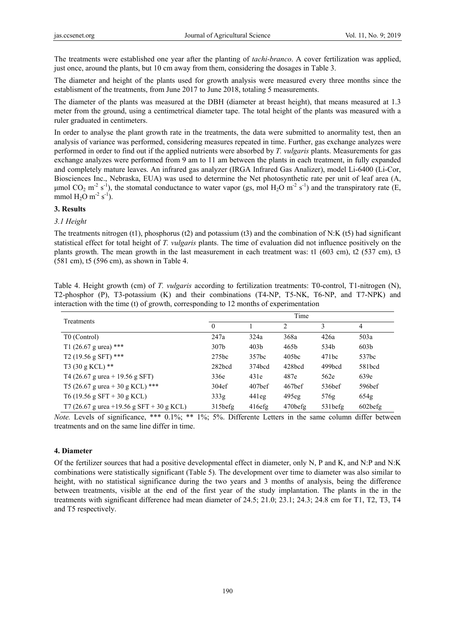The treatments were established one year after the planting of *tachi-branco*. A cover fertilization was applied, just once, around the plants, but 10 cm away from them, considering the dosages in Table 3.

The diameter and height of the plants used for growth analysis were measured every three months since the establisment of the treatments, from June 2017 to June 2018, totaling 5 measurements.

The diameter of the plants was measured at the DBH (diameter at breast height), that means measured at 1.3 meter from the ground, using a centimetrical diameter tape. The total height of the plants was measured with a ruler graduated in centimeters.

In order to analyse the plant growth rate in the treatments, the data were submitted to anormality test, then an analysis of variance was performed, considering measures repeated in time. Further, gas exchange analyzes were performed in order to find out if the applied nutrients were absorbed by *T. vulgaris* plants. Measurements for gas exchange analyzes were performed from 9 am to 11 am between the plants in each treatment, in fully expanded and completely mature leaves. An infrared gas analyzer (IRGA Infrared Gas Analizer), model Li-6400 (Li-Cor, Biosciences Inc., Nebraska, EUA) was used to determine the Net photosynthetic rate per unit of leaf area (A, μmol CO<sub>2</sub> m<sup>-2</sup> s<sup>-1</sup>), the stomatal conductance to water vapor (gs, mol H<sub>2</sub>O m<sup>-2</sup> s<sup>-1</sup>) and the transpiratory rate (E, mmol  $H_2O$  m<sup>-2</sup> s<sup>-1</sup>).

## **3. Results**

#### *3.1 Height*

The treatments nitrogen (t1), phosphorus (t2) and potassium (t3) and the combination of N:K (t5) had significant statistical effect for total height of *T. vulgaris* plants. The time of evaluation did not influence positively on the plants growth. The mean growth in the last measurement in each treatment was: t1 (603 cm), t2 (537 cm), t3 (581 cm), t5 (596 cm), as shown in Table 4.

| Treatments                                |                  |                    | Time               |                    |                  |
|-------------------------------------------|------------------|--------------------|--------------------|--------------------|------------------|
|                                           | $\theta$         |                    | 2                  | 3                  | 4                |
| T0 (Control)                              | 247a             | 324a               | 368a               | 426a               | 503a             |
| T1 (26.67 g urea) ***                     | 307 <sub>b</sub> | 403 <sub>b</sub>   | 465b               | 534b               | 603 <sub>b</sub> |
| T <sub>2</sub> (19.56 g SFT) ***          | 275bc            | 357bc              | 405bc              | 471bc              | 537bc            |
| T3 $(30 g KCL)$ **                        | 282bcd           | 374bcd             | 428bcd             | 499bcd             | 581bcd           |
| T4 (26.67 g urea + 19.56 g SFT)           | 336e             | 431e               | 487e               | 562e               | 639e             |
| T5 (26.67 g urea + 30 g KCL) ***          | 304ef            | 407 <sub>bef</sub> | 467 <sub>bef</sub> | 536 <sub>bef</sub> | 596bef           |
| T6 (19.56 g SFT + 30 g KCL)               | 333g             | 441eg              | 495eg              | 576g               | 654g             |
| T7 (26.67 g urea +19.56 g SFT + 30 g KCL) | 315befg          | 416efg             | 470befg            | 531befg            | $602$ befg       |

Table 4. Height growth (cm) of *T. vulgaris* according to fertilization treatments: T0-control, T1-nitrogen (N), T2-phosphor (P), T3-potassium (K) and their combinations (T4-NP, T5-NK, T6-NP, and T7-NPK) and interaction with the time (t) of growth, corresponding to 12 months of experimentation

*Note.* Levels of significance, \*\*\* 0.1%; \*\* 1%; 5%. Differente Letters in the same column differ between treatments and on the same line differ in time.

#### **4. Diameter**

Of the fertilizer sources that had a positive developmental effect in diameter, only N, P and K, and N:P and N:K combinations were statistically significant (Table 5). The development over time to diameter was also similar to height, with no statistical significance during the two years and 3 months of analysis, being the difference between treatments, visible at the end of the first year of the study implantation. The plants in the in the treatments with significant difference had mean diameter of 24.5; 21.0; 23.1; 24.3; 24.8 cm for T1, T2, T3, T4 and T5 respectively.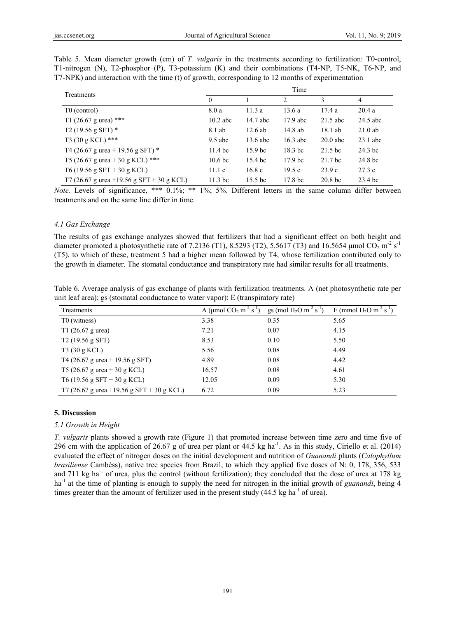|                                           |                    |                    | Time               |                    |            |
|-------------------------------------------|--------------------|--------------------|--------------------|--------------------|------------|
| Treatments                                | $\theta$           |                    | 2                  | 3                  | 4          |
| T <sub>0</sub> (control)                  | 8.0a               | 11.3a              | 13.6a              | 17.4a              | 20.4a      |
| T1 (26.67 g urea) ***                     | $10.2$ abc         | 14.7 abc           | $17.9$ abc         | $21.5$ abc         | $24.5$ abc |
| T <sub>2</sub> (19.56 g SFT) $*$          | 8.1 ab             | $12.6$ ab          | 14.8 ab            | 18.1 ab            | $21.0$ ab  |
| $T3(30 g KCL)$ ***                        | $9.5$ abc          | $13.6$ abc         | $16.3$ abc         | $20.0$ abc         | $23.1$ abc |
| T4 (26.67 g urea + 19.56 g SFT) $*$       | 11.4 <sub>bc</sub> | 15.9 <sub>bc</sub> | 18.3 bc            | 21.5 bc            | 24.3 bc    |
| T5 (26.67 g urea + 30 g KCL) ***          | 10.6 <sub>bc</sub> | 15.4 bc            | 17.9 <sub>bc</sub> | 21.7 bc            | 24.8 bc    |
| T6 (19.56 g SFT + 30 g KCL)               | 11.1c              | 16.8c              | 19.5c              | 23.9c              | 27.3c      |
| T7 (26.67 g urea +19.56 g SFT + 30 g KCL) | 11.3 bc            | 15.5 bc            | 17.8 bc            | 20.8 <sub>bc</sub> | 23.4 bc    |

Table 5. Mean diameter growth (cm) of *T. vulgaris* in the treatments according to fertilization: T0-control, T1-nitrogen (N), T2-phosphor (P), T3-potassium (K) and their combinations (T4-NP, T5-NK, T6-NP, and T7-NPK) and interaction with the time (t) of growth, corresponding to 12 months of experimentation

*Note.* Levels of significance, \*\*\* 0.1%; \*\* 1%; 5%. Different letters in the same column differ between treatments and on the same line differ in time.

#### *4.1 Gas Exchange*

The results of gas exchange analyzes showed that fertilizers that had a significant effect on both height and diameter promoted a photosynthetic rate of 7.2136 (T1), 8.5293 (T2), 5.5617 (T3) and 16.5654 µmol CO<sub>2</sub> m<sup>-2</sup> s<sup>-1</sup> (T5), to which of these, treatment 5 had a higher mean followed by T4, whose fertilization contributed only to the growth in diameter. The stomatal conductance and transpiratory rate had similar results for all treatments.

| Table 6. Average analysis of gas exchange of plants with fertilization treatments. A (net photosynthetic rate per |  |
|-------------------------------------------------------------------------------------------------------------------|--|
| unit leaf area); gs (stomatal conductance to water vapor): E (transpiratory rate)                                 |  |

| Treatments                                | A (µmol $CO_2$ m <sup>-2</sup> s <sup>-1</sup> ) | gs (mol H <sub>2</sub> O m <sup>-2</sup> s <sup>-1</sup> ) | E (mmol $H_2O$ m <sup>-2</sup> s <sup>-1</sup> ) |
|-------------------------------------------|--------------------------------------------------|------------------------------------------------------------|--------------------------------------------------|
| T <sub>0</sub> (witness)                  | 3.38                                             | 0.35                                                       | 5.65                                             |
| T1 $(26.67 \text{ g} \text{ urea})$       | 7.21                                             | 0.07                                                       | 4.15                                             |
| T <sub>2</sub> (19.56 g SFT)              | 8.53                                             | 0.10                                                       | 5.50                                             |
| T3 (30 g KCL)                             | 5.56                                             | 0.08                                                       | 4.49                                             |
| T4 (26.67 g urea + 19.56 g SFT)           | 4.89                                             | 0.08                                                       | 4.42                                             |
| T5 (26.67 g urea + 30 g KCL)              | 16.57                                            | 0.08                                                       | 4.61                                             |
| T6 (19.56 g SFT + 30 g KCL)               | 12.05                                            | 0.09                                                       | 5.30                                             |
| T7 (26.67 g urea +19.56 g SFT + 30 g KCL) | 6.72                                             | 0.09                                                       | 5.23                                             |

#### **5. Discussion**

#### *5.1 Growth in Height*

*T. vulgaris* plants showed a growth rate (Figure 1) that promoted increase between time zero and time five of 296 cm with the application of 26.67 g of urea per plant or 44.5 kg ha<sup>-1</sup>. As in this study, Ciriello et al. (2014) evaluated the effect of nitrogen doses on the initial development and nutrition of *Guanandi* plants (*Calophyllum brasiliense* Cambèss), native tree species from Brazil, to which they applied five doses of N: 0, 178, 356, 533 and 711 kg ha<sup>-1</sup> of urea, plus the control (without fertilization); they concluded that the dose of urea at 178 kg ha<sup>-1</sup> at the time of planting is enough to supply the need for nitrogen in the initial growth of *guanandi*, being 4 times greater than the amount of fertilizer used in the present study  $(44.5 \text{ kg ha}^{-1}$  of urea).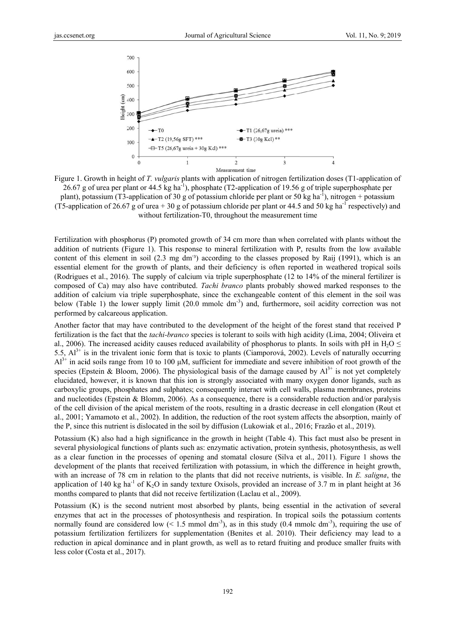

Figure 1. Growth in height of *T. vulgaris* plants with application of nitrogen fertilization doses (T1-application of 26.67 g of urea per plant or 44.5 kg ha<sup>-1</sup>), phosphate (T2-application of 19.56 g of triple superphosphate per plant), potassium (T3-application of 30 g of potassium chloride per plant or 50 kg ha<sup>-1</sup>), nitrogen + potassium (T5-application of 26.67 g of urea + 30 g of potassium chloride per plant or 44.5 and 50 kg ha<sup>-1</sup> respectively) and without fertilization-T0, throughout the measurement time

Fertilization with phosphorus (P) promoted growth of 34 cm more than when correlated with plants without the addition of nutrients (Figure 1). This response to mineral fertilization with P, results from the low available content of this element in soil  $(2.3 \text{ mg dm}^3)$  according to the classes proposed by Raij  $(1991)$ , which is an essential element for the growth of plants, and their deficiency is often reported in weathered tropical soils (Rodrigues et al., 2016). The supply of calcium via triple superphosphate (12 to 14% of the mineral fertilizer is composed of Ca) may also have contributed. *Tachi branco* plants probably showed marked responses to the addition of calcium via triple superphosphate, since the exchangeable content of this element in the soil was below (Table 1) the lower supply limit (20.0 mmolc dm<sup>-3</sup>) and, furthermore, soil acidity correction was not performed by calcareous application.

Another factor that may have contributed to the development of the height of the forest stand that received P fertilization is the fact that the *tachi-branco* species is tolerant to soils with high acidity (Lima, 2004; Oliveira et al., 2006). The increased acidity causes reduced availability of phosphorus to plants. In soils with pH in  $H_2O \le$ 5.5,  $Al^{3+}$  is in the trivalent ionic form that is toxic to plants (Ciamporová, 2002). Levels of naturally occurring  $Al^{3+}$  in acid soils range from 10 to 100  $\mu$ M, sufficient for immediate and severe inhibition of root growth of the species (Epstein & Bloom, 2006). The physiological basis of the damage caused by  $Al^{3+}$  is not yet completely elucidated, however, it is known that this ion is strongly associated with many oxygen donor ligands, such as carboxylic groups, phosphates and sulphates; consequently interact with cell walls, plasma membranes, proteins and nucleotides (Epstein & Blomm, 2006). As a consequence, there is a considerable reduction and/or paralysis of the cell division of the apical meristem of the roots, resulting in a drastic decrease in cell elongation (Rout et al., 2001; Yamamoto et al., 2002). In addition, the reduction of the root system affects the absorption, mainly of the P, since this nutrient is dislocated in the soil by diffusion (Lukowiak et al., 2016; Frazão et al., 2019).

Potassium (K) also had a high significance in the growth in height (Table 4). This fact must also be present in several physiological functions of plants such as: enzymatic activation, protein synthesis, photosynthesis, as well as a clear function in the processes of opening and stomatal closure (Silva et al., 2011). Figure 1 shows the development of the plants that received fertilization with potassium, in which the difference in height growth, with an increase of 78 cm in relation to the plants that did not receive nutrients, is visible. In *E. saligna*, the application of 140 kg ha<sup>-1</sup> of  $K_2O$  in sandy texture Oxisols, provided an increase of 3.7 m in plant height at 36 months compared to plants that did not receive fertilization (Laclau et al., 2009).

Potassium (K) is the second nutrient most absorbed by plants, being essential in the activation of several enzymes that act in the processes of photosynthesis and respiration. In tropical soils the potassium contents normally found are considered low (< 1.5 mmol dm<sup>-3</sup>), as in this study (0.4 mmolc dm<sup>-3</sup>), requiring the use of potassium fertilization fertilizers for supplementation (Benites et al. 2010). Their deficiency may lead to a reduction in apical dominance and in plant growth, as well as to retard fruiting and produce smaller fruits with less color ( (Costa et al., 2 2017).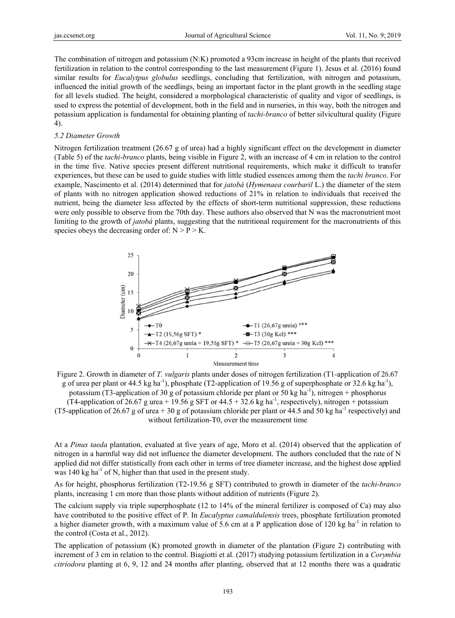The combination of nitrogen and potassium (N:K) promoted a 93cm increase in height of the plants that received fertilization in relation to the control corresponding to the last measurement (Figure 1). Jesus et al. (2016) found similar results for *Eucalytpus globulus* seedlings, concluding that fertilization, with nitrogen and potassium, influenced the initial growth of the seedlings, being an important factor in the plant growth in the seedling stage for all levels studied. The height, considered a morphological characteristic of quality and vigor of seedlings, is used to express the potential of development, both in the field and in nurseries, in this way, both the nitrogen and potassium application is fundamental for obtaining planting of *tachi-branco* of better silvicultural quality (Figure 4).

#### 5.2 Diameter Growth

Nitrogen fertilization treatment  $(26.67 \text{ g of urea})$  had a highly significant effect on the development in diameter (Table 5) of the *tachi-branco* plants, being visible in Figure 2, with an increase of 4 cm in relation to the control in the time five. Native species present different nutritional requirements, which make it difficult to transfer experiences, but these can be used to guide studies with little studied essences among them the *tachi branco*. For example. Nascimento et al. (2014) determined that for *jatoba (Hymenaea courbaril* L.) the diameter of the stem of plants with no nitrogen application showed reductions of 21% in relation to individuals that received the nutrient, being the diameter less affected by the effects of short-term nutritional suppression, these reductions were only possible to observe from the 70th day. These authors also observed that N was the macronutrient most limiting to the growth of *jatobá* plants, suggesting that the nutritional requirement for the macronutrients of this species obeys the decreasing order of:  $N > P > K$ .



Figure 2. Growth in diameter of T. vulgaris plants under doses of nitrogen fertilization (T1-application of 26.67) g of urea per plant or 44.5 kg ha<sup>-1</sup>), phosphate (T2-application of 19.56 g of superphosphate or 32.6 kg ha<sup>-1</sup>), potassium (T3-application of 30 g of potassium chloride per plant or 50 kg ha<sup>-1</sup>), nitrogen + phosphorus (T4-application of 26.67 g urea + 19.56 g SFT or 44.5 + 32.6 kg ha<sup>-1</sup>, respectively), nitrogen + potassium (T5-application of 26.67 g of urea + 30 g of potassium chloride per plant or 44.5 and 50 kg ha<sup>-1</sup> respectively) and without fertilization-T0, over the measurement time

At a *Pinus taeda* plantation, evaluated at five years of age. Moro et al. (2014) observed that the application of nitrogen in a harmful way did not influence the diameter development. The authors concluded that the rate of N applied did not differ statistically from each other in terms of tree diameter increase, and the highest dose applied was 140 kg ha<sup>-1</sup> of N, higher than that used in the present study.

As for height, phosphorus fertilization (T2-19.56 g SFT) contributed to growth in diameter of the *tachi-branco* plants, increasing 1 cm more than those plants without addition of nutrients (Figure 2).

The calcium supply via triple superphosphate (12 to 14% of the mineral fertilizer is composed of Ca) may also have contributed to the positive effect of P. In *Eucalyptus camaldulensis* trees, phosphate fertilization promoted a higher diameter growth, with a maximum value of 5.6 cm at a P application dose of 120 kg ha<sup>-1</sup> in relation to the control (Costa et al., 2012).

The application of potassium (K) promoted growth in diameter of the plantation (Figure 2) contributing with increment of 3 cm in relation to the control. Biagiotti et al. (2017) studying potassium fertilization in a Corymbia *citriodora* planting at 6, 9, 12 and 24 months after planting, observed that at 12 months there was a quadratic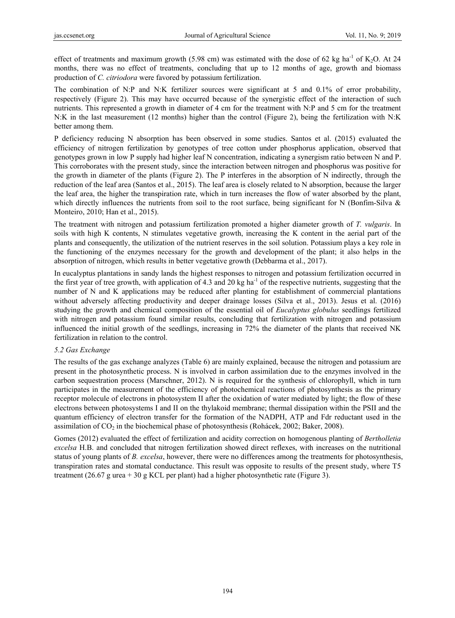effect of treatments and maximum growth (5.98 cm) was estimated with the dose of 62 kg ha<sup>-1</sup> of K<sub>2</sub>O. At 24 months, there was no effect of treatments, concluding that up to 12 months of age, growth and biomass production of *C. citriodora* were favored by potassium fertilization.

The combination of N:P and N:K fertilizer sources were significant at 5 and 0.1% of error probability, respectively (Figure 2). This may have occurred because of the synergistic effect of the interaction of such nutrients. This represented a growth in diameter of 4 cm for the treatment with N:P and 5 cm for the treatment N:K in the last measurement (12 months) higher than the control (Figure 2), being the fertilization with N:K better among them.

P deficiency reducing N absorption has been observed in some studies. Santos et al. (2015) evaluated the efficiency of nitrogen fertilization by genotypes of tree cotton under phosphorus application, observed that genotypes grown in low P supply had higher leaf N concentration, indicating a synergism ratio between N and P. This corroborates with the present study, since the interaction between nitrogen and phosphorus was positive for the growth in diameter of the plants (Figure 2). The P interferes in the absorption of N indirectly, through the reduction of the leaf area (Santos et al., 2015). The leaf area is closely related to N absorption, because the larger the leaf area, the higher the transpiration rate, which in turn increases the flow of water absorbed by the plant, which directly influences the nutrients from soil to the root surface, being significant for N (Bonfim-Silva  $\&$ Monteiro, 2010; Han et al., 2015).

The treatment with nitrogen and potassium fertilization promoted a higher diameter growth of *T. vulgaris*. In soils with high K contents, N stimulates vegetative growth, increasing the K content in the aerial part of the plants and consequently, the utilization of the nutrient reserves in the soil solution. Potassium plays a key role in the functioning of the enzymes necessary for the growth and development of the plant; it also helps in the absorption of nitrogen, which results in better vegetative growth (Debbarma et al., 2017).

In eucalyptus plantations in sandy lands the highest responses to nitrogen and potassium fertilization occurred in the first year of tree growth, with application of 4.3 and 20 kg ha<sup>-1</sup> of the respective nutrients, suggesting that the number of N and K applications may be reduced after planting for establishment of commercial plantations without adversely affecting productivity and deeper drainage losses (Silva et al., 2013). Jesus et al. (2016) studying the growth and chemical composition of the essential oil of *Eucalyptus globulus* seedlings fertilized with nitrogen and potassium found similar results, concluding that fertilization with nitrogen and potassium influenced the initial growth of the seedlings, increasing in 72% the diameter of the plants that received NK fertilization in relation to the control.

# *5.2 Gas Exchange*

The results of the gas exchange analyzes (Table 6) are mainly explained, because the nitrogen and potassium are present in the photosynthetic process. N is involved in carbon assimilation due to the enzymes involved in the carbon sequestration process (Marschner, 2012). N is required for the synthesis of chlorophyll, which in turn participates in the measurement of the efficiency of photochemical reactions of photosynthesis as the primary receptor molecule of electrons in photosystem II after the oxidation of water mediated by light; the flow of these electrons between photosystems I and II on the thylakoid membrane; thermal dissipation within the PSII and the quantum efficiency of electron transfer for the formation of the NADPH, ATP and Fdr reductant used in the assimilation of  $CO<sub>2</sub>$  in the biochemical phase of photosynthesis (Rohácek, 2002; Baker, 2008).

Gomes (2012) evaluated the effect of fertilization and acidity correction on homogenous planting of *Bertholletia excelsa* H.B. and concluded that nitrogen fertilization showed direct reflexes, with increases on the nutritional status of young plants of *B. excelsa*, however, there were no differences among the treatments for photosynthesis, transpiration rates and stomatal conductance. This result was opposite to results of the present study, where T5 treatment  $(26.67 \text{ g} \text{ urea} + 30 \text{ g KCL} \text{ per plant})$  had a higher photosynthetic rate (Figure 3).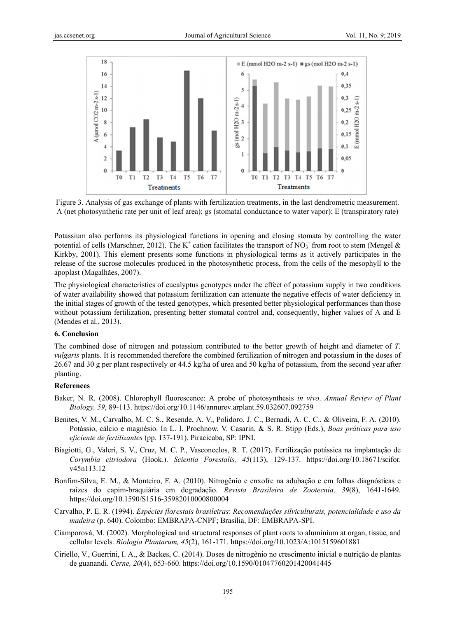

Figure 3. Analysis of gas exchange of plants with fertilization treatments, in the last dendrometric measurement. A (net photosynthetic rate per unit of leaf area); gs (stomatal conductance to water vapor); E (transpiratory rate)

Potassium also performs its physiological functions in opening and closing stomata by controlling the water potential of cells (Marschner, 2012). The K<sup>+</sup> cation facilitates the transport of NO<sub>3</sub> from root to stem (Mengel & Kirkby, 2001). This element presents some functions in physiological terms as it actively participates in the release of the sucrose molecules produced in the photosynthetic process, from the cells of the mesophyll to the apoplast (Magalhães, 2007).

The physiological characteristics of eucalyptus genotypes under the effect of potassium supply in two conditions of water availability showed that potassium fertilization can attenuate the negative effects of water deficiency in the initial stages of growth of the tested genotypes, which presented better physiological performances than those without potassium fertilization, presenting better stomatal control and, consequently, higher values of A and E (Mendes et al., 2013).

## 6. Conclusion

The combined dose of nitrogen and potassium contributed to the better growth of height and diameter of T. *vulgaris* plants. It is recommended therefore the combined fertilization of nitrogen and potassium in the doses of 26.67 and 30 g per plant respectively or 44.5 kg/ha of urea and 50 kg/ha of potassium, from the second year after planting.

#### References

- Baker, N. R. (2008). Chlorophyll fluorescence: A probe of photosynthesis in vivo. Annual Review of Plant *Biology*, 59, 89-113. https://doi.org/10.1146/annurev.arplant.59.032607.092759
- Benites, V. M., Carvalho, M. C. S., Resende, A. V., Polidoro, J. C., Bernadi, A. C. C., & Oliveira, F. A. (2010). Potássio, cálcio e magnésio. In L. I. Prochnow, V. Casarin, & S. R. Stipp (Eds.), Boas práticas para uso eficiente de fertilizantes (pp. 137-191). Piracicaba, SP: IPNI.
- Biagiotti, G., Valeri, S. V., Cruz, M. C. P., Vasconcelos, R. T. (2017). Fertilização potássica na implantação de Corymbia citriodora (Hook.). Scientia Forestalis, 45(113), 129-137. https://doi.org/10.18671/scifor. v45n113.12
- Bonfim-Silva, E. M., & Monteiro, F. A. (2010). Nitrogênio e enxofre na adubação e em folhas diagnósticas e raízes do capim-braquiária em degradação. Revista Brasileira de Zootecnia, 39(8), 1641-1649. https://doi.org/10.1590/S1516-35982010000800004
- Carvalho, P. E. R. (1994). Espécies florestais brasileiras: Recomendações silviculturais, potencialidade e uso da madeira (p. 640). Colombo: EMBRAPA-CNPF; Brasília, DF: EMBRAPA-SPI.
- Ciamporová, M. (2002). Morphological and structural responses of plant roots to aluminium at organ, tissue, and cellular levels. *Biologia Plantarum, 45*(2), 161-171. https://doi.org/10.1023/A:1015159601881
- Ciriello, V., Guerrini, I. A., & Backes, C. (2014). Doses de nitrogênio no crescimento inicial e nutrição de plantas de guanandi. Cerne, 20(4), 653-660. https://doi.org/10.1590/01047760201420041445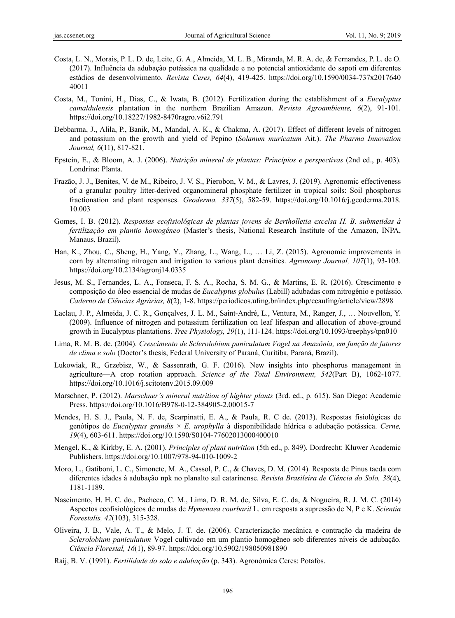- Costa, L. N., Morais, P. L. D. de, Leite, G. A., Almeida, M. L. B., Miranda, M. R. A. de, & Fernandes, P. L. de O. (2017). Influência da adubação potássica na qualidade e no potencial antioxidante do sapoti em diferentes estádios de desenvolvimento. *Revista Ceres, 64*(4), 419-425. https://doi.org/10.1590/0034-737x2017640 40011
- Costa, M., Tonini, H., Dias, C., & Iwata, B. (2012). Fertilization during the establishment of a *Eucalyptus camaldulensis* plantation in the northern Brazilian Amazon. *Revista Agroambiente, 6*(2), 91-101. https://doi.org/10.18227/1982-8470ragro.v6i2.791
- Debbarma, J., Alila, P., Banik, M., Mandal, A. K., & Chakma, A. (2017). Effect of different levels of nitrogen and potassium on the growth and yield of Pepino (*Solanum muricatum* Ait.). *The Pharma Innovation Journal, 6*(11), 817-821.
- Epstein, E., & Bloom, A. J. (2006). *Nutrição mineral de plantas: Princípios e perspectivas* (2nd ed., p. 403). Londrina: Planta.
- Frazão, J. J., Benites, V. de M., Ribeiro, J. V. S., Pierobon, V. M., & Lavres, J. (2019). Agronomic effectiveness of a granular poultry litter-derived organomineral phosphate fertilizer in tropical soils: Soil phosphorus fractionation and plant responses. *Geoderma, 337*(5), 582-59. https://doi.org/10.1016/j.geoderma.2018. 10.003
- Gomes, I. B. (2012). *Respostas ecofisiológicas de plantas jovens de Bertholletia excelsa H. B. submetidas à fertilização em plantio homogêneo* (Master's thesis, National Research Institute of the Amazon, INPA, Manaus, Brazil).
- Han, K., Zhou, C., Sheng, H., Yang, Y., Zhang, L., Wang, L., … Li, Z. (2015). Agronomic improvements in corn by alternating nitrogen and irrigation to various plant densities. *Agronomy Journal, 107*(1), 93-103. https://doi.org/10.2134/agronj14.0335
- Jesus, M. S., Fernandes, L. A., Fonseca, F. S. A., Rocha, S. M. G., & Martins, E. R. (2016). Crescimento e composição do óleo essencial de mudas de *Eucalyptus globulus* (Labill) adubadas com nitrogênio e potássio. *Caderno de Ciências Agrárias, 8*(2), 1-8. https://periodicos.ufmg.br/index.php/ccaufmg/article/view/2898
- Laclau, J. P., Almeida, J. C. R., Gonçalves, J. L. M., Saint-André, L., Ventura, M., Ranger, J., … Nouvellon, Y. (2009). Influence of nitrogen and potassium fertilization on leaf lifespan and allocation of above-ground growth in Eucalyptus plantations. *Tree Physiology, 29*(1), 111-124. https://doi.org/10.1093/treephys/tpn010
- Lima, R. M. B. de. (2004). *Crescimento de Sclerolobium paniculatum Vogel na Amazônia, em função de fatores de clima e solo* (Doctor's thesis, Federal University of Paraná, Curitiba, Paraná, Brazil).
- Lukowiak, R., Grzebisz, W., & Sassenrath, G. F. (2016). New insights into phosphorus management in agriculture—A crop rotation approach. *Science of the Total Environment, 542*(Part B), 1062-1077. https://doi.org/10.1016/j.scitotenv.2015.09.009
- Marschner, P. (2012). *Marschner's mineral nutrition of highter plants* (3rd. ed., p. 615). San Diego: Academic Press. https://doi.org/10.1016/B978-0-12-384905-2.00015-7
- Mendes, H. S. J., Paula, N. F. de, Scarpinatti, E. A., & Paula, R. C de. (2013). Respostas fisiológicas de genótipos de *Eucalyptus grandis* × *E. urophylla* à disponibilidade hídrica e adubação potássica. *Cerne, 19*(4), 603-611. https://doi.org/10.1590/S0104-77602013000400010
- Mengel, K., & Kirkby, E. A. (2001). *Principles of plant nutrition* (5th ed., p. 849). Dordrecht: Kluwer Academic Publishers. https://doi.org/10.1007/978-94-010-1009-2
- Moro, L., Gatiboni, L. C., Simonete, M. A., Cassol, P. C., & Chaves, D. M. (2014). Resposta de Pinus taeda com diferentes idades à adubação npk no planalto sul catarinense. *Revista Brasileira de Ciência do Solo, 38*(4), 1181-1189.
- Nascimento, H. H. C. do., Pacheco, C. M., Lima, D. R. M. de, Silva, E. C. da, & Nogueira, R. J. M. C. (2014) Aspectos ecofisiológicos de mudas de *Hymenaea courbaril* L. em resposta a supressão de N, P e K. *Scientia Forestalis, 42*(103), 315-328.
- Oliveira, J. B., Vale, A. T., & Melo, J. T. de. (2006). Caracterização mecânica e contração da madeira de *Sclerolobium paniculatum* Vogel cultivado em um plantio homogêneo sob diferentes níveis de adubação. *Ciência Florestal, 16*(1), 89-97. https://doi.org/10.5902/198050981890
- Raij, B. V. (1991). *Fertilidade do solo e adubação* (p. 343). Agronômica Ceres: Potafos.